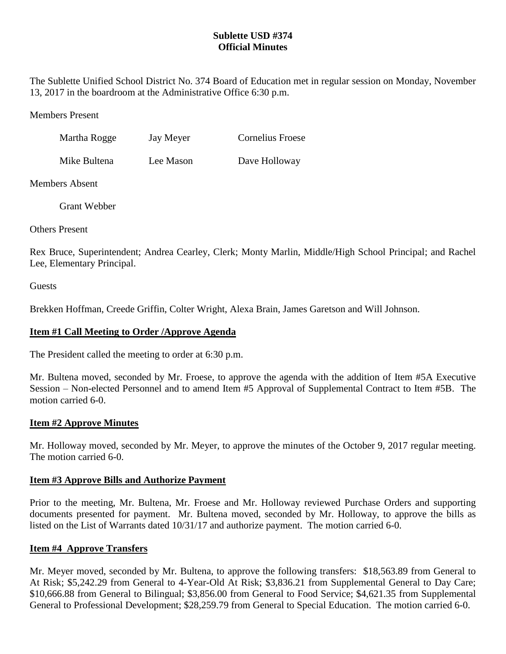# **Sublette USD #374 Official Minutes**

The Sublette Unified School District No. 374 Board of Education met in regular session on Monday, November 13, 2017 in the boardroom at the Administrative Office 6:30 p.m.

Members Present

| Martha Rogge | Jay Meyer | <b>Cornelius Froese</b> |
|--------------|-----------|-------------------------|
|              |           |                         |

Mike Bultena Lee Mason Dave Holloway

Members Absent

Grant Webber

Others Present

Rex Bruce, Superintendent; Andrea Cearley, Clerk; Monty Marlin, Middle/High School Principal; and Rachel Lee, Elementary Principal.

**Guests** 

Brekken Hoffman, Creede Griffin, Colter Wright, Alexa Brain, James Garetson and Will Johnson.

# **Item #1 Call Meeting to Order /Approve Agenda**

The President called the meeting to order at 6:30 p.m.

Mr. Bultena moved, seconded by Mr. Froese, to approve the agenda with the addition of Item #5A Executive Session – Non-elected Personnel and to amend Item #5 Approval of Supplemental Contract to Item #5B. The motion carried 6-0.

## **Item #2 Approve Minutes**

Mr. Holloway moved, seconded by Mr. Meyer, to approve the minutes of the October 9, 2017 regular meeting. The motion carried 6-0.

## **Item #3 Approve Bills and Authorize Payment**

Prior to the meeting, Mr. Bultena, Mr. Froese and Mr. Holloway reviewed Purchase Orders and supporting documents presented for payment. Mr. Bultena moved, seconded by Mr. Holloway, to approve the bills as listed on the List of Warrants dated 10/31/17 and authorize payment. The motion carried 6-0.

## **Item #4 Approve Transfers**

Mr. Meyer moved, seconded by Mr. Bultena, to approve the following transfers: \$18,563.89 from General to At Risk; \$5,242.29 from General to 4-Year-Old At Risk; \$3,836.21 from Supplemental General to Day Care; \$10,666.88 from General to Bilingual; \$3,856.00 from General to Food Service; \$4,621.35 from Supplemental General to Professional Development; \$28,259.79 from General to Special Education. The motion carried 6-0.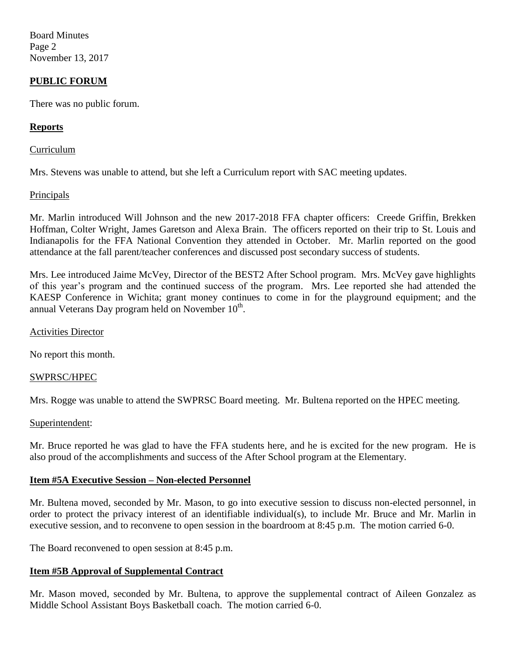Board Minutes Page 2 November 13, 2017

## **PUBLIC FORUM**

There was no public forum.

## **Reports**

#### Curriculum

Mrs. Stevens was unable to attend, but she left a Curriculum report with SAC meeting updates.

#### **Principals**

Mr. Marlin introduced Will Johnson and the new 2017-2018 FFA chapter officers: Creede Griffin, Brekken Hoffman, Colter Wright, James Garetson and Alexa Brain. The officers reported on their trip to St. Louis and Indianapolis for the FFA National Convention they attended in October. Mr. Marlin reported on the good attendance at the fall parent/teacher conferences and discussed post secondary success of students.

Mrs. Lee introduced Jaime McVey, Director of the BEST2 After School program. Mrs. McVey gave highlights of this year's program and the continued success of the program. Mrs. Lee reported she had attended the KAESP Conference in Wichita; grant money continues to come in for the playground equipment; and the annual Veterans Day program held on November  $10^{th}$ .

#### Activities Director

No report this month.

## SWPRSC/HPEC

Mrs. Rogge was unable to attend the SWPRSC Board meeting. Mr. Bultena reported on the HPEC meeting.

#### Superintendent:

Mr. Bruce reported he was glad to have the FFA students here, and he is excited for the new program. He is also proud of the accomplishments and success of the After School program at the Elementary.

## **Item #5A Executive Session – Non-elected Personnel**

Mr. Bultena moved, seconded by Mr. Mason, to go into executive session to discuss non-elected personnel, in order to protect the privacy interest of an identifiable individual(s), to include Mr. Bruce and Mr. Marlin in executive session, and to reconvene to open session in the boardroom at 8:45 p.m. The motion carried 6-0.

The Board reconvened to open session at 8:45 p.m.

## **Item #5B Approval of Supplemental Contract**

Mr. Mason moved, seconded by Mr. Bultena, to approve the supplemental contract of Aileen Gonzalez as Middle School Assistant Boys Basketball coach. The motion carried 6-0.